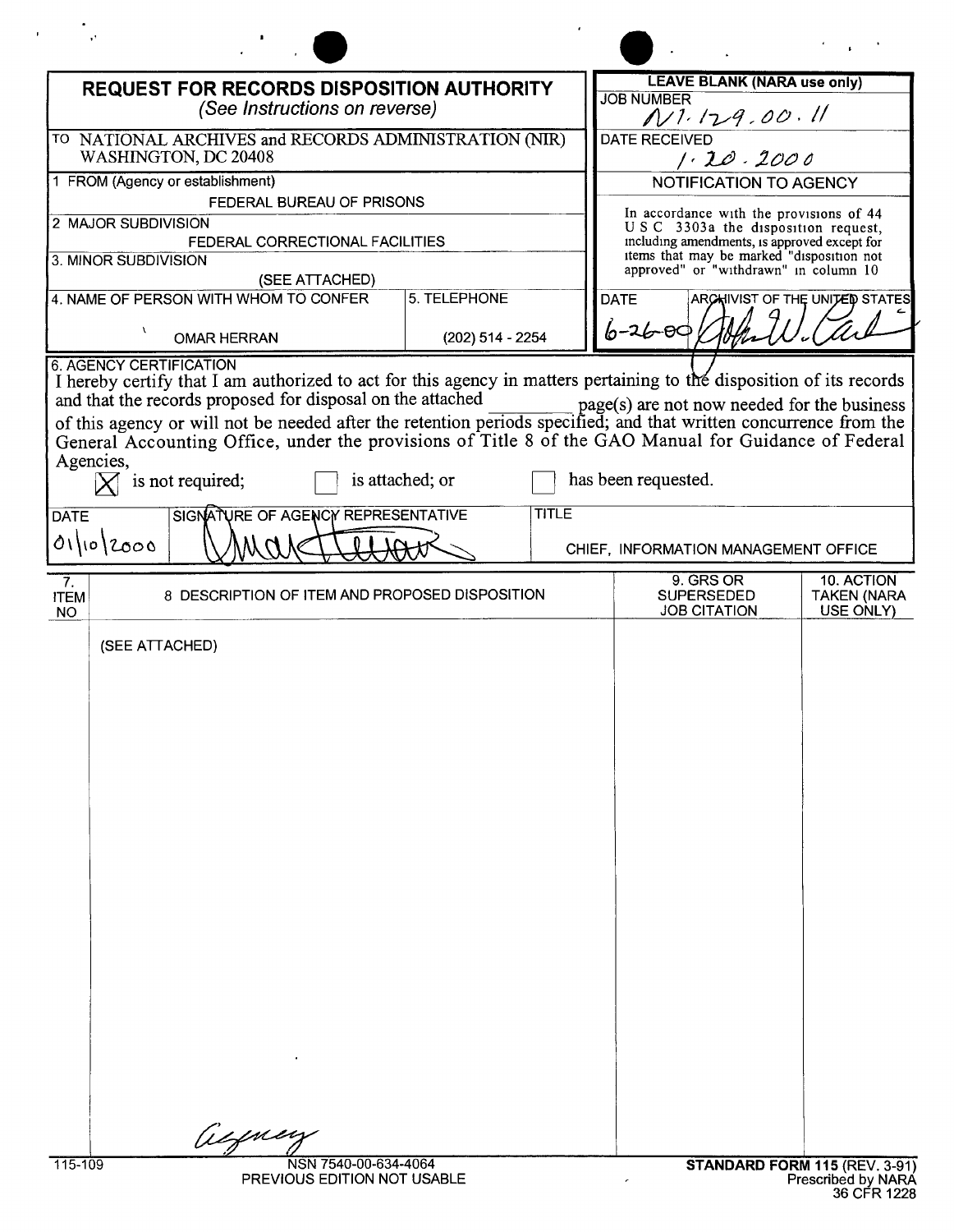| <b>REQUEST FOR RECORDS DISPOSITION AUTHORITY</b><br>(See Instructions on reverse) |                                                         |                                 | <b>LEAVE BLANK (NARA use only)</b><br><b>JOB NUMBER</b><br>N1.129.00.11                                                                                                                                             |                                 |
|-----------------------------------------------------------------------------------|---------------------------------------------------------|---------------------------------|---------------------------------------------------------------------------------------------------------------------------------------------------------------------------------------------------------------------|---------------------------------|
| TO NATIONAL ARCHIVES and RECORDS ADMINISTRATION (NIR)<br>WASHINGTON, DC 20408     |                                                         |                                 | <b>DATE RECEIVED</b><br>1.20.2000                                                                                                                                                                                   |                                 |
| 1 FROM (Agency or establishment)<br>FEDERAL BUREAU OF PRISONS                     |                                                         |                                 | <b>NOTIFICATION TO AGENCY</b>                                                                                                                                                                                       |                                 |
| 2 MAJOR SUBDIVISION<br>3. MINOR SUBDIVISION                                       | FEDERAL CORRECTIONAL FACILITIES                         |                                 | In accordance with the provisions of 44<br>USC 3303a the disposition request,<br>including amendments, is approved except for<br>items that may be marked "disposition not<br>approved" or "withdrawn" in column 10 |                                 |
|                                                                                   | (SEE ATTACHED)<br>4. NAME OF PERSON WITH WHOM TO CONFER | 5. TELEPHONE                    | <b>DATE</b>                                                                                                                                                                                                         | ARCHIVIST OF THE UNITED STATES  |
| $\mathbf{r}$<br><b>6. AGENCY CERTIFICATION</b>                                    | <b>OMAR HERRAN</b>                                      | (202) 514 - 2254                | $6 - 26 - 001$                                                                                                                                                                                                      |                                 |
| Agencies,<br><b>DATE</b><br>01/10/2000                                            | is not required;<br>SIGNATURE OF AGENCY REPRESENTATIVE  | is attached; or<br><b>TITLE</b> | has been requested.<br>CHIEF, INFORMATION MANAGEMENT OFFICE                                                                                                                                                         |                                 |
| 7.                                                                                | 8 DESCRIPTION OF ITEM AND PROPOSED DISPOSITION          |                                 | 9. GRS OR<br><b>SUPERSEDED</b>                                                                                                                                                                                      | 10. ACTION                      |
| <b>ITEM</b><br><b>NO</b>                                                          |                                                         |                                 | <b>JOB CITATION</b>                                                                                                                                                                                                 | <b>TAKEN (NARA</b><br>USE ONLY) |
| (SEE ATTACHED)                                                                    |                                                         |                                 |                                                                                                                                                                                                                     |                                 |

PREVIOUS EDITION NOT USABLE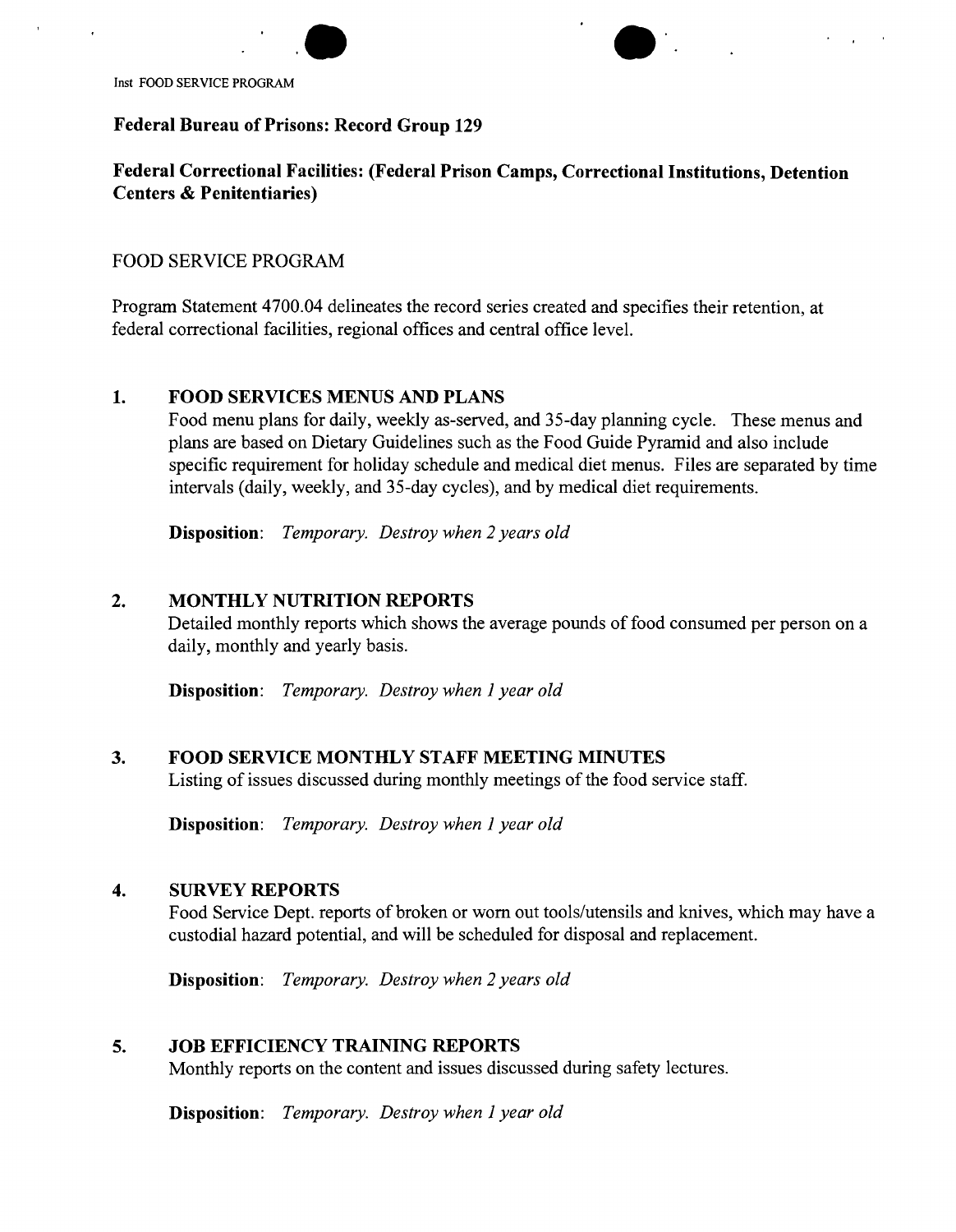



Inst FOOD SERVICE PROGRAM

## **Federal Bureau of Prisons: Record Group 129**

# **Federal Correctional Facilities: (Federal Prison Camps, Correctional Institutions, Detention Centers & Penitentiaries)**

## FOOD SERVICE PROGRAM

Program Statement 4700.04 delineates the record series created and specifies their retention, at federal correctional facilities, regional offices and central office level.

### **1. FOOD SERVICES MENUS AND PLANS**

Food menu plans for daily, weekly as-served, and 35-day planning cycle. These menus and plans are based on Dietary Guidelines such as the Food Guide Pyramid and also include specific requirement for holiday schedule and medical diet menus. Files are separated by time intervals (daily, weekly, and 35-day cycles), and by medical diet requirements.

**Disposition:** *Temporary. Destroy when* 2 *years old*

## **2. MONTHLY NUTRITION REPORTS**

Detailed monthly reports which shows the average pounds of food consumed per person on a daily, monthly and yearly basis.

**Disposition:** *Temporary. Destroy when* 1*year old*

### **3. FOOD SERVICE MONTHLY STAFF MEETING MINUTES**

Listing of issues discussed during monthly meetings of the food service staff.

**Disposition:** *Temporary. Destroy when* 1*year old*

### **4. SURVEY REPORTS**

Food Service Dept. reports of broken or worn out tools/utensils and knives, which may have a custodial hazard potential, and will be scheduled for disposal and replacement.

**Disposition:** *Temporary. Destroy when* 2 *years old*

### **5. JOB EFFICIENCY TRAINING REPORTS**

Monthly reports on the content and issues discussed during safety lectures.

**Disposition:** *Temporary. Destroy when* 1*year old*